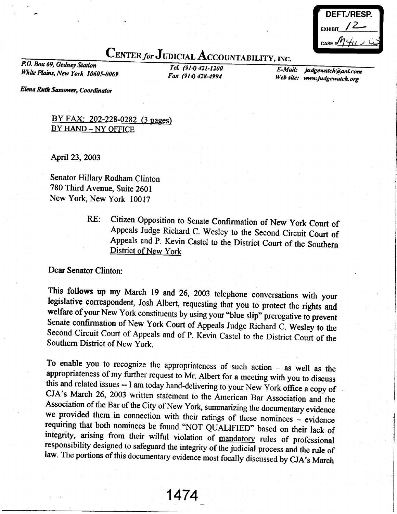|           | DEFT./RESP. |
|-----------|-------------|
| EXHIBIT / |             |
|           | CASE $MHU$  |

## CENTER for JUDICIAL ACCOUNTABILITY, INC.<br>P.O. Box 69, Gedney Station<br>F-Ma

White Plains, New York 10605-0069 Fax (914) 428-4994

E-Mail: Web site: www.judgewatch. judgewatch@aoLcom

Elena Ruth Sassower, Coordinator

BY FAX: 202-228-0282 (3 pages) BY HAND - NY OFFICE

April 23,2003

Senator Hillary Rodham Clinton 780 Third Avenue, Suite 2601 New York, New York 10017

RE: Citizen Opposition to Senate Confirmation of New York Court of Appeals Judge Richard C. Wesley to the Second Circuit Court of Appeals and P. Kevin Castel to the District Court of the Southern District of New York

Dear Senator Clinton:

This follows up my March 19 and 26, 2003 telephone conversations with your legislative correspondent, Josh Albert, requesting that you to protect the rights and welfare of your New York constituents by using your "blue sli

To enable you to recognize the appropriateness of such action – as well as the appropriateness of my further request to Mr. Albert for a meeting with you to discuss this and related issues -- I am today hand-delivering to requiring that both nominees be found "NOT QUALIFIED" based on their lack of integrity, arising from their wilful violation of <u>mandatory</u> rules of professional responsibility designed to safeguard the integrity of the jud

1474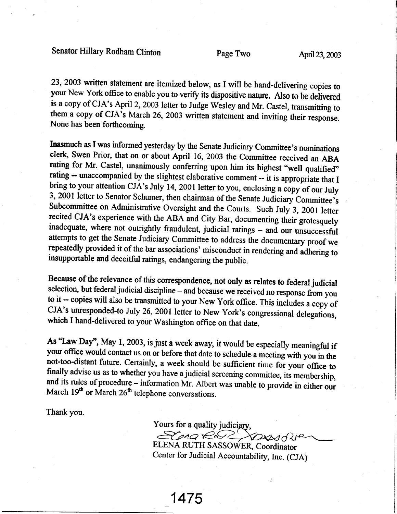## Senator Hillary Rodham Clinton Page Two April 23, 2003

23,2003 written statement are itemized below, as I wilt be hand-delivering copies to your New York office to enable you to verify its dispositive nature. Also to be delivered is a copy of CJA's April 2, 2003 letter to Judge Wesley and Mr. Castel, transmitting to them a copy of CJA's March 26, 2003 written statement and inviting their response. None has been forthcoming.

Inasmuch as I was informed yesterday by the Senate Judiciary Committee's nominations clerk, Swen Prior, that on or about April 16, 2003 the Committee received an ABA rating for Mr. Castel, unanimously conferring upon him its highest "well qualified" rating -- unaccompanied by the slightest elaborative comment -- it is appropriate that I bring to your attention CJA's July 14, 2001 letter to you, enclosing a copy of our July 3, 2001 letter to Senator Schumer, then chairman of the Senate Judiciary Committee's Subcommittee on Administrative Oversight and the Courts. Such July 3, 2001 letter recited CJA's experience with the ABA and City Bar, documenting their grotesquely inadequate, where not outrightly fraudulent, judicial ratings - and our unsuccessful<br>attempts to get the Senate Judiciary Committee to address the documentary proof we repeatedly provided it of the bar associations' misconduct in rendering and adhering to insupportable and deceitful ratings, endangering the public.

Because of the relevance of this corespondence, not only as relates to federal judicial selection, but federal judicial discipline - and because we received no response from you to it -- copies will also be transmitted to your New York office. This includes a copy of CJA's unresponded-to July 26, 2001 letter to New York's congressional delegations, which I hand-delivered to your washington office on that date.

As "Law Day", May 1, 2003, is just a week away, it would be especially meaningful if your office would contact us on or before that date to schedule a meeting with you in the not-too-distant future. Certainly, a week should be sufficient time for your office to finally advise us as to whether you have a judicial screening committee, its membership, and its rules of procedure – information Mr. Albert was unable to provide in either our March  $19<sup>th</sup>$  or March  $26<sup>th</sup>$  telephone conversations.

Thank you.

Yours for a quality judiciary, ELENA RUTH SASSOWER, Coordinator

Center for Judicial Accountability, Inc. (CJA)

1475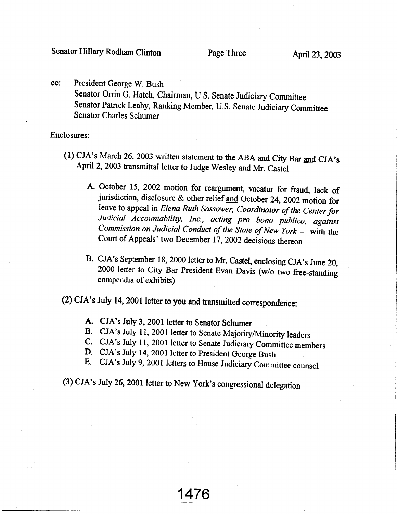cc: President George W. Bush Senator Orrin G. Hatch, Chairman, U.S. Senate Judiciary Committee Senator Patrick Leahy, Ranking Member, U.S. Senate Judiciary Committee Senator Charles Schumer

Enclosures:

- (1) CJA's March 26, 2003 written statement to the ABA and City Bar and CJA's April 2, 2003 transmittal letter to Judge Wesley and Mr. Castel
	- A. October 15, 2002 motion for reargument, vacatur for fraud, lack of jurisdiction, disclosure & other relief <u>and</u> October 24, 2002 motion for leave to appeal in *Elena Ruth Sassower*, *Coordinator of the Center for* Judicial Accountability, Inc., acting pro bono publico, against Commission on Judicial Conduct of the State of New York -- with the Court of Appeals' two December 17, 2002 decisions thereon
	- B. CJA's September 18, 2000 letter to Mr. Castel, enclosing CJA's June 20, 2000 letter to City Bar President Evan Davis (w/o two free-standing compendia of exhibits)

(2) cJA's July 14, 2001 letter to you and tansmitted conespondence:

- A. CJA's July 3, 2001 letter to Senator Schumer
- B. CJA's July 11, 2001 letter to Senate Majority/Minority leaders
- C. CJA's July 11, 2001 letter to Senate Judiciary Committee members
- D. CJA's July 14, 2001 letter to President George Bush
- E. CJA's July 9, 2001 letters to House Judiciary Committee counsel

1476

(3) cJA's July 26,2001 letter to New york's congressional delegation